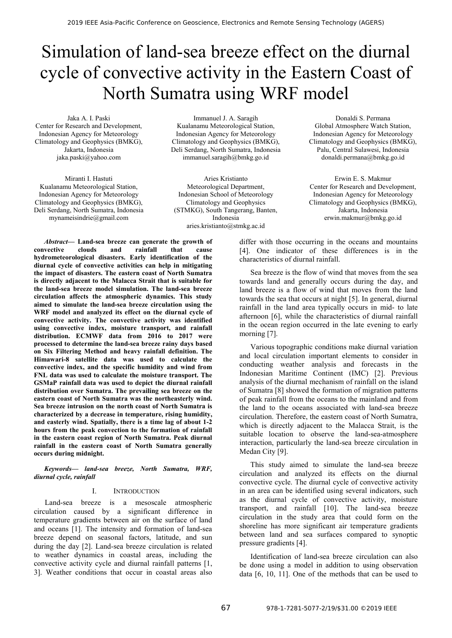# Simulation of land-sea breeze effect on the diurnal cycle of convective activity in the Eastern Coast of North Sumatra using WRF model

Jaka A. I. Paski Center for Research and Development, Indonesian Agency for Meteorology Climatology and Geophysics (BMKG), Jakarta, Indonesia jaka.paski@yahoo.com

Miranti I. Hastuti Kualanamu Meteorological Station, Indonesian Agency for Meteorology Climatology and Geophysics (BMKG), Deli Serdang, North Sumatra, Indonesia mynameisindrie@gmail.com

Immanuel J. A. Saragih Kualanamu Meteorological Station, Indonesian Agency for Meteorology Climatology and Geophysics (BMKG), Deli Serdang, North Sumatra, Indonesia immanuel.saragih@bmkg.go.id

Aries Kristianto Meteorological Department, Indonesian School of Meteorology Climatology and Geophysics (STMKG), South Tangerang, Banten, Indonesia aries.kristianto@stmkg.ac.id

*Abstract***— Land-sea breeze can generate the growth of convective clouds and rainfall that cause hydrometeorological disasters. Early identification of the diurnal cycle of convective activities can help in mitigating the impact of disasters. The eastern coast of North Sumatra is directly adjacent to the Malacca Strait that is suitable for the land-sea breeze model simulation. The land-sea breeze circulation affects the atmospheric dynamics. This study aimed to simulate the land-sea breeze circulation using the WRF model and analyzed its effect on the diurnal cycle of convective activity. The convective activity was identified using convective index, moisture transport, and rainfall distribution. ECMWF data from 2016 to 2017 were processed to determine the land-sea breeze rainy days based on Six Filtering Method and heavy rainfall definition. The Himawari-8 satellite data was used to calculate the convective index, and the specific humidity and wind from FNL data was used to calculate the moisture transport. The GSMaP rainfall data was used to depict the diurnal rainfall distribution over Sumatra. The prevailing sea breeze on the eastern coast of North Sumatra was the northeasterly wind. Sea breeze intrusion on the north coast of North Sumatra is characterized by a decrease in temperature, rising humidity, and easterly wind. Spatially, there is a time lag of about 1-2 hours from the peak convection to the formation of rainfall in the eastern coast region of North Sumatra. Peak diurnal rainfall in the eastern coast of North Sumatra generally occurs during midnight.**

*Keywords— land-sea breeze, North Sumatra, WRF, diurnal cycle, rainfall*

#### I. INTRODUCTION

Land-sea breeze is a mesoscale atmospheric circulation caused by a significant difference in temperature gradients between air on the surface of land and oceans [1]. The intensity and formation of land-sea breeze depend on seasonal factors, latitude, and sun during the day [2]. Land-sea breeze circulation is related to weather dynamics in coastal areas, including the convective activity cycle and diurnal rainfall patterns [1, 3]. Weather conditions that occur in coastal areas also

Donaldi S. Permana Global Atmosphere Watch Station, Indonesian Agency for Meteorology Climatology and Geophysics (BMKG), Palu, Central Sulawesi, Indonesia donaldi.permana@bmkg.go.id

Erwin E. S. Makmur Center for Research and Development, Indonesian Agency for Meteorology Climatology and Geophysics (BMKG), Jakarta, Indonesia erwin.makmur@bmkg.go.id

differ with those occurring in the oceans and mountains [4]. One indicator of these differences is in the characteristics of diurnal rainfall.

Sea breeze is the flow of wind that moves from the sea towards land and generally occurs during the day, and land breeze is a flow of wind that moves from the land towards the sea that occurs at night [5]. In general, diurnal rainfall in the land area typically occurs in mid- to late afternoon [6], while the characteristics of diurnal rainfall in the ocean region occurred in the late evening to early morning [7].

Various topographic conditions make diurnal variation and local circulation important elements to consider in conducting weather analysis and forecasts in the Indonesian Maritime Continent (IMC) [2]. Previous analysis of the diurnal mechanism of rainfall on the island of Sumatra [8] showed the formation of migration patterns of peak rainfall from the oceans to the mainland and from the land to the oceans associated with land-sea breeze circulation. Therefore, the eastern coast of North Sumatra, which is directly adjacent to the Malacca Strait, is the suitable location to observe the land-sea-atmosphere interaction, particularly the land-sea breeze circulation in Medan City [9].

This study aimed to simulate the land-sea breeze circulation and analyzed its effects on the diurnal convective cycle. The diurnal cycle of convective activity in an area can be identified using several indicators, such as the diurnal cycle of convective activity, moisture transport, and rainfall [10]. The land-sea breeze circulation in the study area that could form on the shoreline has more significant air temperature gradients between land and sea surfaces compared to synoptic pressure gradients [4].

Identification of land-sea breeze circulation can also be done using a model in addition to using observation data [6, 10, 11]. One of the methods that can be used to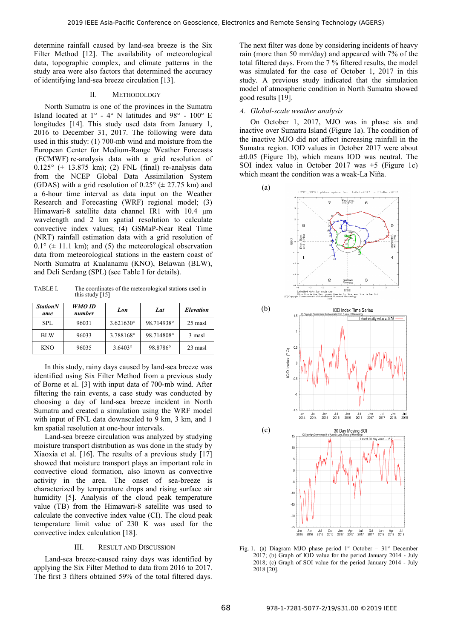determine rainfall caused by land-sea breeze is the Six Filter Method [12]. The availability of meteorological data, topographic complex, and climate patterns in the study area were also factors that determined the accuracy of identifying land-sea breeze circulation [13].

# II. METHODOLOGY

North Sumatra is one of the provinces in the Sumatra Island located at  $1^\circ$  - 4° N latitudes and 98° - 100° E longitudes [14]. This study used data from January 1, 2016 to December 31, 2017. The following were data used in this study: (1) 700-mb wind and moisture from the European Center for Medium-Range Weather Forecasts (ECMWF) re-analysis data with a grid resolution of  $0.125^{\circ}$  ( $\pm$  13.875 km); (2) FNL (final) re-analysis data from the NCEP Global Data Assimilation System (GDAS) with a grid resolution of  $0.25^{\circ}$  ( $\pm$  27.75 km) and a 6-hour time interval as data input on the Weather Research and Forecasting (WRF) regional model; (3) Himawari-8 satellite data channel IR1 with 10.4 μm wavelength and 2 km spatial resolution to calculate convective index values; (4) GSMaP-Near Real Time (NRT) rainfall estimation data with a grid resolution of  $0.1^{\circ}$  ( $\pm$  11.1 km); and (5) the meteorological observation data from meteorological stations in the eastern coast of North Sumatra at Kualanamu (KNO), Belawan (BLW), and Deli Serdang (SPL) (see Table I for details).

TABLE I. The coordinates of the meteorological stations used in this study [15]

| <b>Station</b> N<br>ame | WMO ID<br>number | Lon                | Lat        | Elevation |
|-------------------------|------------------|--------------------|------------|-----------|
| SPL                     | 96031            | $3.621630^{\circ}$ | 98.714938° | 25 masl   |
| <b>BLW</b>              | 96033            | 3.788168°          | 98.714808° | 3 masl    |
| <b>KNO</b>              | 96035            | $3.6403^{\circ}$   | 98.8786°   | 23 masl   |

In this study, rainy days caused by land-sea breeze was identified using Six Filter Method from a previous study of Borne et al. [3] with input data of 700-mb wind. After filtering the rain events, a case study was conducted by choosing a day of land-sea breeze incident in North Sumatra and created a simulation using the WRF model with input of FNL data downscaled to 9 km, 3 km, and 1 km spatial resolution at one-hour intervals.

Land-sea breeze circulation was analyzed by studying moisture transport distribution as was done in the study by Xiaoxia et al. [16]. The results of a previous study [17] showed that moisture transport plays an important role in convective cloud formation, also known as convective activity in the area. The onset of sea-breeze is characterized by temperature drops and rising surface air humidity [5]. Analysis of the cloud peak temperature value (TB) from the Himawari-8 satellite was used to calculate the convective index value (CI). The cloud peak temperature limit value of 230 K was used for the convective index calculation [18].

## III. RESULT AND DISCUSSION

Land-sea breeze-caused rainy days was identified by applying the Six Filter Method to data from 2016 to 2017. The first 3 filters obtained 59% of the total filtered days.

The next filter was done by considering incidents of heavy rain (more than 50 mm/day) and appeared with 7% of the total filtered days. From the 7 % filtered results, the model was simulated for the case of October 1, 2017 in this study. A previous study indicated that the simulation model of atmospheric condition in North Sumatra showed good results [19].

# *A. Global-scale weather analysis*

On October 1, 2017, MJO was in phase six and inactive over Sumatra Island (Figure 1a). The condition of the inactive MJO did not affect increasing rainfall in the Sumatra region. IOD values in October 2017 were about ±0.05 (Figure 1b), which means IOD was neutral. The SOI index value in October 2017 was +5 (Figure 1c) which meant the condition was a weak-La Niña.



Fig. 1. (a) Diagram MJO phase period  $1<sup>st</sup>$  October –  $31<sup>st</sup>$  December 2017; (b) Graph of IOD value for the period January 2014 - July 2018; (c) Graph of SOI value for the period January 2014 - July 2018 [20].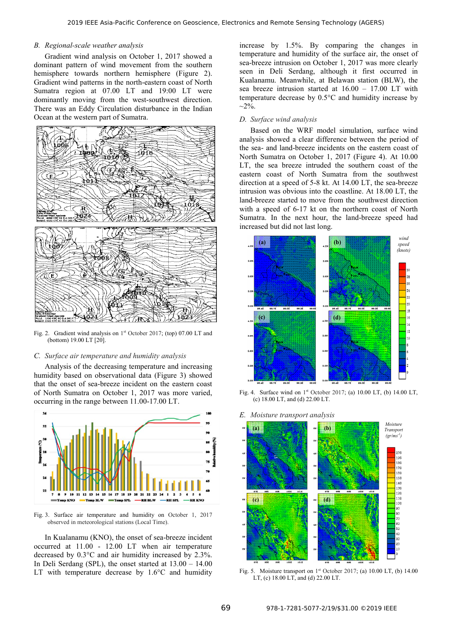# *B. Regional-scale weather analysis*

Gradient wind analysis on October 1, 2017 showed a dominant pattern of wind movement from the southern hemisphere towards northern hemisphere (Figure 2). Gradient wind patterns in the north-eastern coast of North Sumatra region at 07.00 LT and 19:00 LT were dominantly moving from the west-southwest direction. There was an Eddy Circulation disturbance in the Indian Ocean at the western part of Sumatra.



Fig. 2. Gradient wind analysis on  $1<sup>st</sup>$  October 2017; (top) 07.00 LT and (bottom) 19.00 LT [20].

## *C. Surface air temperature and humidity analysis*

Analysis of the decreasing temperature and increasing humidity based on observational data (Figure 3) showed that the onset of sea-breeze incident on the eastern coast of North Sumatra on October 1, 2017 was more varied, occurring in the range between 11.00-17.00 LT.



Fig. 3. Surface air temperature and humidity on October 1, 2017 observed in meteorological stations (Local Time).

In Kualanamu (KNO), the onset of sea-breeze incident occurred at 11.00 - 12.00 LT when air temperature decreased by 0.3°C and air humidity increased by 2.3%. In Deli Serdang (SPL), the onset started at 13.00 – 14.00 LT with temperature decrease by 1.6°C and humidity

increase by 1.5%. By comparing the changes in temperature and humidity of the surface air, the onset of sea-breeze intrusion on October 1, 2017 was more clearly seen in Deli Serdang, although it first occurred in Kualanamu. Meanwhile, at Belawan station (BLW), the sea breeze intrusion started at 16.00 – 17.00 LT with temperature decrease by 0.5°C and humidity increase by  $\sim$ 2%.

### *D. Surface wind analysis*

Based on the WRF model simulation, surface wind analysis showed a clear difference between the period of the sea- and land-breeze incidents on the eastern coast of North Sumatra on October 1, 2017 (Figure 4). At 10.00 LT, the sea breeze intruded the southern coast of the eastern coast of North Sumatra from the southwest direction at a speed of 5-8 kt. At 14.00 LT, the sea-breeze intrusion was obvious into the coastline. At 18.00 LT, the land-breeze started to move from the southwest direction with a speed of 6-17 kt on the northern coast of North Sumatra. In the next hour, the land-breeze speed had increased but did not last long.



Fig. 4. Surface wind on 1st October 2017; (a) 10.00 LT, (b) 14.00 LT, (c) 18.00 LT, and (d) 22.00 LT.

#### *E. Moisture transport analysis*



Fig. 5. Moisture transport on  $1<sup>st</sup>$  October 2017; (a) 10.00 LT, (b) 14.00 LT, (c) 18.00 LT, and (d) 22.00 LT.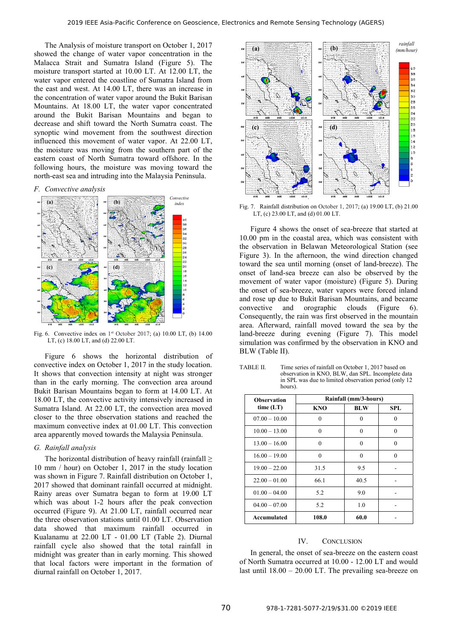The Analysis of moisture transport on October 1, 2017 showed the change of water vapor concentration in the Malacca Strait and Sumatra Island (Figure 5). The moisture transport started at 10.00 LT. At 12.00 LT, the water vapor entered the coastline of Sumatra Island from the east and west. At 14.00 LT, there was an increase in the concentration of water vapor around the Bukit Barisan Mountains. At 18.00 LT, the water vapor concentrated around the Bukit Barisan Mountains and began to decrease and shift toward the North Sumatra coast. The synoptic wind movement from the southwest direction influenced this movement of water vapor. At 22.00 LT, the moisture was moving from the southern part of the eastern coast of North Sumatra toward offshore. In the following hours, the moisture was moving toward the north-east sea and intruding into the Malaysia Peninsula.

*F. Convective analysis* 



Fig. 6. Convective index on  $1<sup>st</sup>$  October 2017; (a) 10.00 LT, (b) 14.00 LT, (c) 18.00 LT, and (d) 22.00 LT.

Figure 6 shows the horizontal distribution of convective index on October 1, 2017 in the study location. It shows that convection intensity at night was stronger than in the early morning. The convection area around Bukit Barisan Mountains began to form at 14.00 LT. At 18.00 LT, the convective activity intensively increased in Sumatra Island. At 22.00 LT, the convection area moved closer to the three observation stations and reached the maximum convective index at 01.00 LT. This convection area apparently moved towards the Malaysia Peninsula.

#### *G. Rainfall analysis*

The horizontal distribution of heavy rainfall (rainfall  $\geq$ 10 mm / hour) on October 1, 2017 in the study location was shown in Figure 7. Rainfall distribution on October 1, 2017 showed that dominant rainfall occurred at midnight. Rainy areas over Sumatra began to form at 19.00 LT which was about 1-2 hours after the peak convection occurred (Figure 9). At 21.00 LT, rainfall occurred near the three observation stations until 01.00 LT. Observation data showed that maximum rainfall occurred in Kualanamu at 22.00 LT - 01.00 LT (Table 2). Diurnal rainfall cycle also showed that the total rainfall in midnight was greater than in early morning. This showed that local factors were important in the formation of diurnal rainfall on October 1, 2017.



Fig. 7. Rainfall distribution on October 1, 2017; (a) 19.00 LT, (b) 21.00 LT, (c) 23.00 LT, and (d) 01.00 LT.

Figure 4 shows the onset of sea-breeze that started at 10.00 pm in the coastal area, which was consistent with the observation in Belawan Meteorological Station (see Figure 3). In the afternoon, the wind direction changed toward the sea until morning (onset of land-breeze). The onset of land-sea breeze can also be observed by the movement of water vapor (moisture) (Figure 5). During the onset of sea-breeze, water vapors were forced inland and rose up due to Bukit Barisan Mountains, and became convective and orographic clouds (Figure 6). Consequently, the rain was first observed in the mountain area. Afterward, rainfall moved toward the sea by the land-breeze during evening (Figure 7). This model simulation was confirmed by the observation in KNO and BLW (Table II).

TABLE II. Time series of rainfall on October 1, 2017 based on observation in KNO, BLW, dan SPL. Incomplete data in SPL was due to limited observation period (only 12 hours).

| <b>Observation</b> | Rainfall (mm/3-hours) |            |            |  |
|--------------------|-----------------------|------------|------------|--|
| time $(LT)$        | KNO                   | <b>BLW</b> | <b>SPL</b> |  |
| $07.00 - 10.00$    | 0                     | 0          | 0          |  |
| $10.00 - 13.00$    | $\theta$              | 0          | 0          |  |
| $13.00 - 16.00$    | $\Omega$              | 0          | $\Omega$   |  |
| $16.00 - 19.00$    | $\theta$              | 0          | 0          |  |
| $19.00 - 22.00$    | 31.5                  | 9.5        |            |  |
| $22.00 - 01.00$    | 66.1                  | 40.5       |            |  |
| $01.00 - 04.00$    | 5.2                   | 9.0        |            |  |
| $04.00 - 07.00$    | 5.2                   | 1.0        |            |  |
| Accumulated        | 108.0                 | 60.0       |            |  |

# IV. CONCLUSION

In general, the onset of sea-breeze on the eastern coast of North Sumatra occurred at 10.00 - 12.00 LT and would last until 18.00 – 20.00 LT. The prevailing sea-breeze on